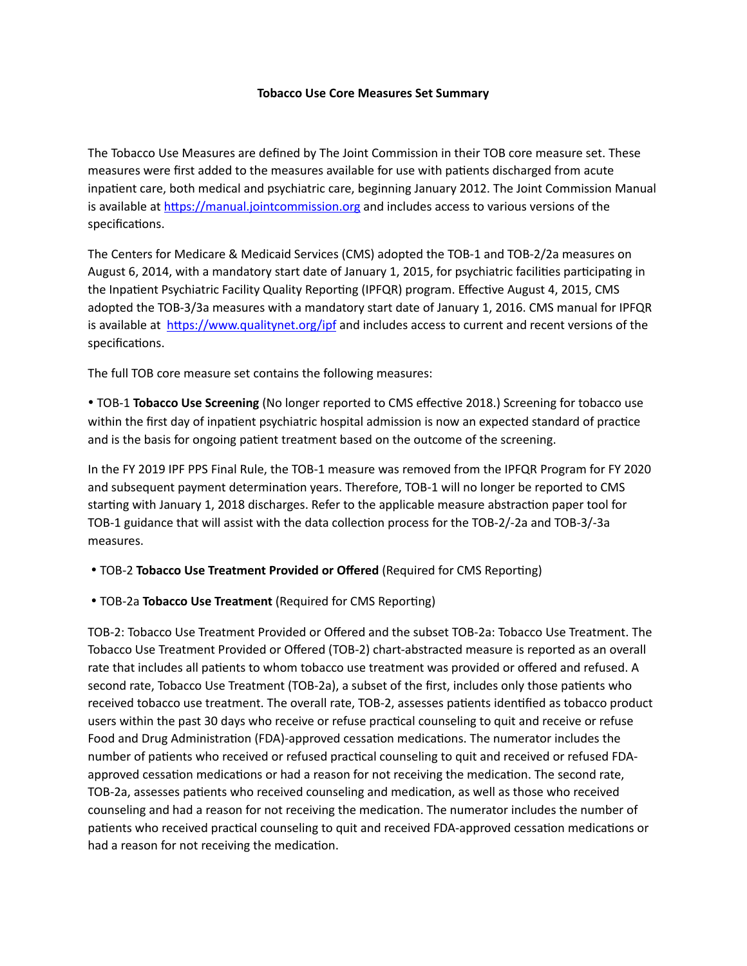## **Tobacco Use Core Measures Set Summary**

The Tobacco Use Measures are defined by The Joint Commission in their TOB core measure set. These measures were first added to the measures available for use with patients discharged from acute inpatient care, both medical and psychiatric care, beginning January 2012. The Joint Commission Manual is available at https://manual.jointcommission.org and includes access to various versions of the specifications.

The Centers for Medicare & Medicaid Services (CMS) adopted the TOB-1 and TOB-2/2a measures on August 6, 2014, with a mandatory start date of January 1, 2015, for psychiatric facilities participating in the Inpatient Psychiatric Facility Quality Reporting (IPFQR) program. Effective August 4, 2015, CMS adopted the TOB-3/3a measures with a mandatory start date of January 1, 2016. CMS manual for IPFQR is available at  $\frac{https://www.qualitynet.org/ipf}{http://www.qualitynet.org/ipf}$  and includes access to current and recent versions of the specifications.

The full TOB core measure set contains the following measures:

• TOB-1 **Tobacco Use Screening** (No longer reported to CMS effective 2018.) Screening for tobacco use within the first day of inpatient psychiatric hospital admission is now an expected standard of practice and is the basis for ongoing patient treatment based on the outcome of the screening.

In the FY 2019 IPF PPS Final Rule, the TOB-1 measure was removed from the IPFQR Program for FY 2020 and subsequent payment determination years. Therefore, TOB-1 will no longer be reported to CMS starting with January 1, 2018 discharges. Refer to the applicable measure abstraction paper tool for TOB-1 guidance that will assist with the data collection process for the TOB-2/-2a and TOB-3/-3a measures.

• TOB-2 **Tobacco Use Treatment Provided or Offered** (Required for CMS Reporting)

• TOB-2a **Tobacco Use Treatment** (Required for CMS Reporting)

TOB-2: Tobacco Use Treatment Provided or Offered and the subset TOB-2a: Tobacco Use Treatment. The Tobacco Use Treatment Provided or Offered (TOB-2) chart-abstracted measure is reported as an overall rate that includes all patients to whom tobacco use treatment was provided or offered and refused. A second rate, Tobacco Use Treatment (TOB-2a), a subset of the first, includes only those patients who received tobacco use treatment. The overall rate, TOB-2, assesses patients identified as tobacco product users within the past 30 days who receive or refuse practical counseling to quit and receive or refuse Food and Drug Administration (FDA)-approved cessation medications. The numerator includes the number of patients who received or refused practical counseling to quit and received or refused FDAapproved cessation medications or had a reason for not receiving the medication. The second rate, TOB-2a, assesses patients who received counseling and medication, as well as those who received counseling and had a reason for not receiving the medication. The numerator includes the number of patients who received practical counseling to quit and received FDA-approved cessation medications or had a reason for not receiving the medication.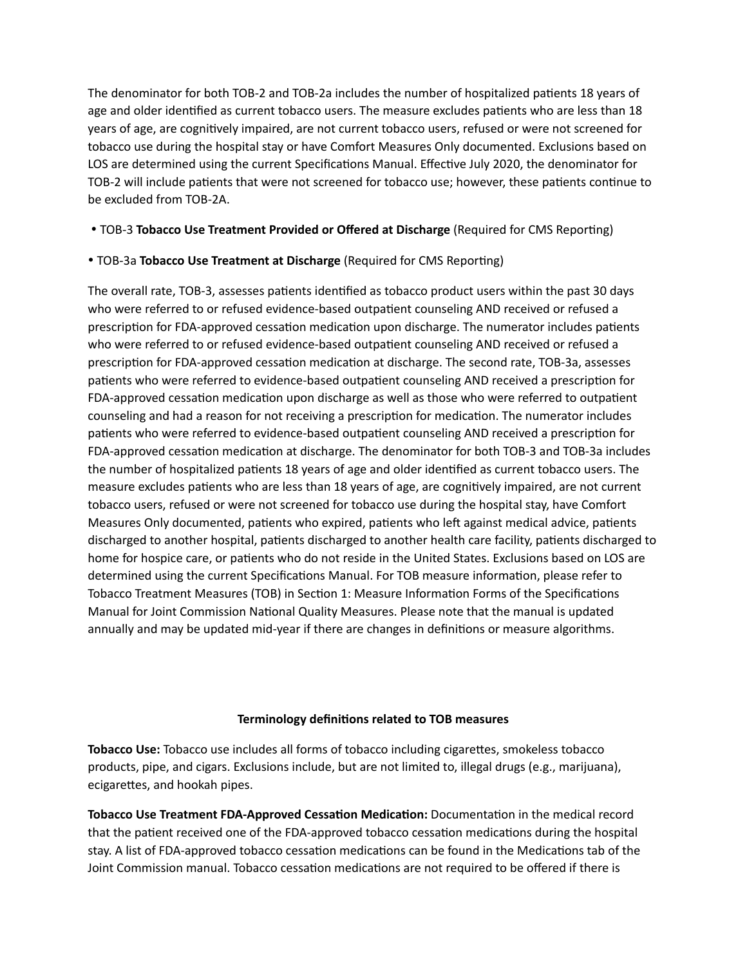The denominator for both TOB-2 and TOB-2a includes the number of hospitalized patients 18 years of age and older identified as current tobacco users. The measure excludes patients who are less than 18 years of age, are cognitively impaired, are not current tobacco users, refused or were not screened for tobacco use during the hospital stay or have Comfort Measures Only documented. Exclusions based on LOS are determined using the current Specifications Manual. Effective July 2020, the denominator for TOB-2 will include patients that were not screened for tobacco use; however, these patients continue to be excluded from TOB-2A.

## • TOB-3 **Tobacco Use Treatment Provided or Offered at Discharge** (Required for CMS Reporting)

## • TOB-3a Tobacco Use Treatment at Discharge (Required for CMS Reporting)

The overall rate, TOB-3, assesses patients identified as tobacco product users within the past 30 days who were referred to or refused evidence-based outpatient counseling AND received or refused a prescription for FDA-approved cessation medication upon discharge. The numerator includes patients who were referred to or refused evidence-based outpatient counseling AND received or refused a prescription for FDA-approved cessation medication at discharge. The second rate, TOB-3a, assesses patients who were referred to evidence-based outpatient counseling AND received a prescription for FDA-approved cessation medication upon discharge as well as those who were referred to outpatient counseling and had a reason for not receiving a prescription for medication. The numerator includes patients who were referred to evidence-based outpatient counseling AND received a prescription for FDA-approved cessation medication at discharge. The denominator for both TOB-3 and TOB-3a includes the number of hospitalized patients 18 years of age and older identified as current tobacco users. The measure excludes patients who are less than 18 years of age, are cognitively impaired, are not current tobacco users, refused or were not screened for tobacco use during the hospital stay, have Comfort Measures Only documented, patients who expired, patients who left against medical advice, patients discharged to another hospital, patients discharged to another health care facility, patients discharged to home for hospice care, or patients who do not reside in the United States. Exclusions based on LOS are determined using the current Specifications Manual. For TOB measure information, please refer to Tobacco Treatment Measures (TOB) in Section 1: Measure Information Forms of the Specifications Manual for Joint Commission National Quality Measures. Please note that the manual is updated annually and may be updated mid-year if there are changes in definitions or measure algorithms.

## **Terminology definitions related to TOB measures**

**Tobacco Use:** Tobacco use includes all forms of tobacco including cigarettes, smokeless tobacco products, pipe, and cigars. Exclusions include, but are not limited to, illegal drugs (e.g., marijuana), ecigarettes, and hookah pipes.

**Tobacco Use Treatment FDA-Approved Cessation Medication:** Documentation in the medical record that the patient received one of the FDA-approved tobacco cessation medications during the hospital stay. A list of FDA-approved tobacco cessation medications can be found in the Medications tab of the Joint Commission manual. Tobacco cessation medications are not required to be offered if there is